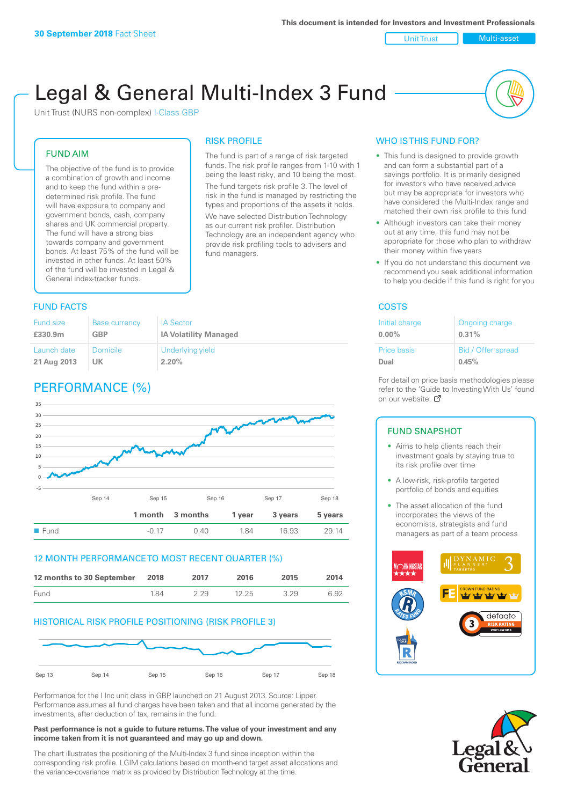Unit Trust Nulti-asset

# Legal & General Multi-Index 3 Fund

RISK PROFILE

fund managers.

The fund is part of a range of risk targeted funds. The risk profile ranges from 1-10 with 1 being the least risky, and 10 being the most. The fund targets risk profile 3. The level of risk in the fund is managed by restricting the types and proportions of the assets it holds. We have selected Distribution Technology as our current risk profiler. Distribution Technology are an independent agency who provide risk profiling tools to advisers and

Unit Trust (NURS non-complex) I-Class GBP

#### FUND AIM

The objective of the fund is to provide a combination of growth and income and to keep the fund within a predetermined risk profile. The fund will have exposure to company and government bonds, cash, company shares and UK commercial property. The fund will have a strong bias towards company and government bonds. At least 75% of the fund will be invested in other funds. At least 50% of the fund will be invested in Legal & General index-tracker funds.

### **FUND FACTS** COSTS

| Fund size   | <b>Base currency</b> | <b>IA Sector</b>             |
|-------------|----------------------|------------------------------|
| £330.9m     | GBP                  | <b>IA Volatility Managed</b> |
| Launch date | Domicile             | Underlying yield             |
| 21 Aug 2013 | UK                   | 2.20%                        |

# PERFORMANCE (%)



#### 12 MONTH PERFORMANCE TO MOST RECENT QUARTER (%)

| 12 months to 30 September 2018 |     | 2017 | 2016  | 2015 | 2014 |
|--------------------------------|-----|------|-------|------|------|
| Fund                           | 184 | 229  | 12.25 | 3 29 | 6.92 |

#### HISTORICAL RISK PROFILE POSITIONING (RISK PROFILE 3)



Performance for the I Inc unit class in GBP, launched on 21 August 2013. Source: Lipper. Performance assumes all fund charges have been taken and that all income generated by the investments, after deduction of tax, remains in the fund.

#### **Past performance is not a guide to future returns. The value of your investment and any income taken from it is not guaranteed and may go up and down.**

The chart illustrates the positioning of the Multi-Index 3 fund since inception within the corresponding risk profile. LGIM calculations based on month-end target asset allocations and the variance-covariance matrix as provided by Distribution Technology at the time.

#### WHO IS THIS FUND FOR?

- This fund is designed to provide growth and can form a substantial part of a savings portfolio. It is primarily designed for investors who have received advice but may be appropriate for investors who have considered the Multi-Index range and matched their own risk profile to this fund
- Although investors can take their money out at any time, this fund may not be appropriate for those who plan to withdraw their money within five years
- If you do not understand this document we recommend you seek additional information to help you decide if this fund is right for you

| Initial charge     | Ongoing charge     |
|--------------------|--------------------|
| $0.00\%$           | 0.31%              |
| <b>Price basis</b> | Bid / Offer spread |
| Dual               | 0.45%              |

For detail on price basis methodologies please refer to the 'Guide to Investing With Us' found on our website. Ø

#### FUND SNAPSHOT

- Aims to help clients reach their investment goals by staying true to its risk profile over time
- A low-risk, risk-profile targeted portfolio of bonds and equities
- The asset allocation of the fund incorporates the views of the economists, strategists and fund managers as part of a team process



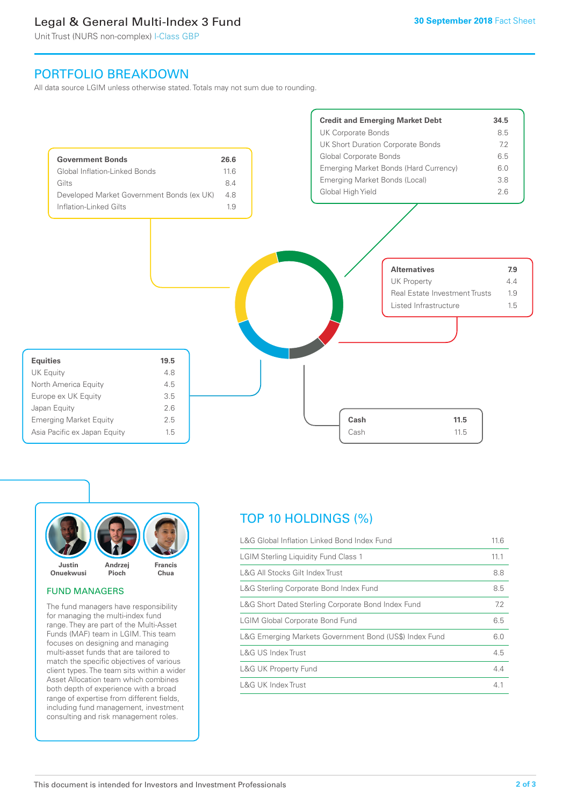# Legal & General Multi-Index 3 Fund

Unit Trust (NURS non-complex) I-Class GBP

## PORTFOLIO BREAKDOWN

All data source LGIM unless otherwise stated. Totals may not sum due to rounding.





#### FUND MANAGERS

The fund managers have responsibility for managing the multi-index fund range. They are part of the Multi-Asset Funds (MAF) team in LGIM. This team focuses on designing and managing multi-asset funds that are tailored to match the specific objectives of various client types. The team sits within a wider Asset Allocation team which combines both depth of experience with a broad range of expertise from different fields, including fund management, investment consulting and risk management roles.

# TOP 10 HOLDINGS (%)

| L&G Global Inflation Linked Bond Index Fund            | 11.6 |
|--------------------------------------------------------|------|
| <b>LGIM Sterling Liquidity Fund Class 1</b>            | 11.1 |
| L&G All Stocks Gilt Index Trust                        | 8.8  |
| L&G Sterling Corporate Bond Index Fund                 | 8.5  |
| L&G Short Dated Sterling Corporate Bond Index Fund     | 7.2  |
| <b>LGIM Global Corporate Bond Fund</b>                 | 6.5  |
| L&G Emerging Markets Government Bond (US\$) Index Fund | 6.0  |
| L&G US Index Trust                                     | 4.5  |
| <b>L&amp;G UK Property Fund</b>                        | 4.4  |
| L&G UK Index Trust                                     | 4.1  |